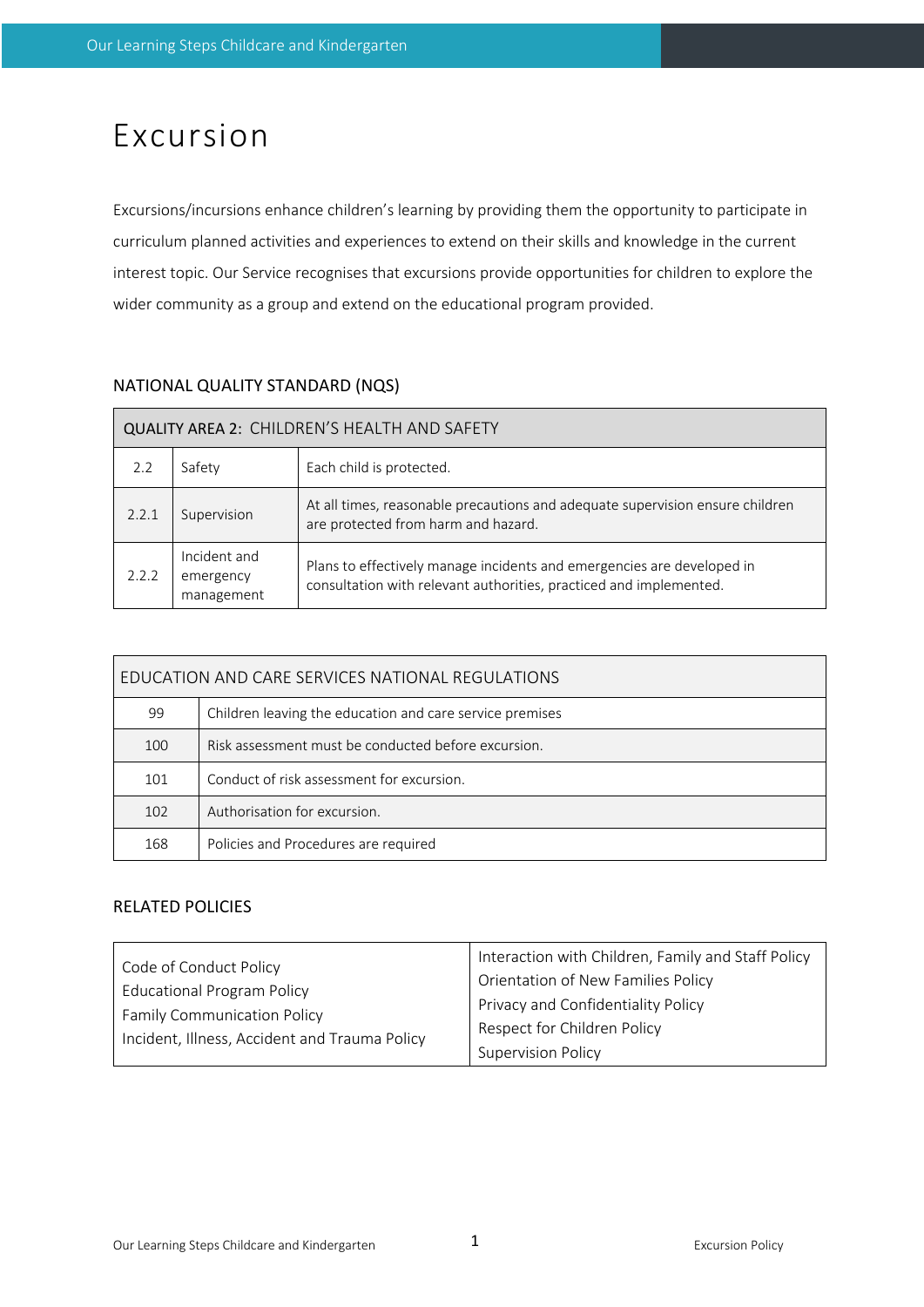# Excursion

Excursions/incursions enhance children's learning by providing them the opportunity to participate in curriculum planned activities and experiences to extend on their skills and knowledge in the current interest topic. Our Service recognises that excursions provide opportunities for children to explore the wider community as a group and extend on the educational program provided.

# NATIONAL QUALITY STANDARD (NQS)

| QUALITY AREA 2: CHILDREN'S HEALTH AND SAFETY |                                                                                                                                                                                         |                                                                                                                      |  |  |  |  |
|----------------------------------------------|-----------------------------------------------------------------------------------------------------------------------------------------------------------------------------------------|----------------------------------------------------------------------------------------------------------------------|--|--|--|--|
| 2.2                                          | Safety                                                                                                                                                                                  | Each child is protected.                                                                                             |  |  |  |  |
| 2.2.1                                        | Supervision                                                                                                                                                                             | At all times, reasonable precautions and adequate supervision ensure children<br>are protected from harm and hazard. |  |  |  |  |
| 2.2.2                                        | Incident and<br>Plans to effectively manage incidents and emergencies are developed in<br>emergency<br>consultation with relevant authorities, practiced and implemented.<br>management |                                                                                                                      |  |  |  |  |

| EDUCATION AND CARE SERVICES NATIONAL REGULATIONS |                                                          |  |  |  |
|--------------------------------------------------|----------------------------------------------------------|--|--|--|
| 99                                               | Children leaving the education and care service premises |  |  |  |
| 100                                              | Risk assessment must be conducted before excursion.      |  |  |  |
| 101                                              | Conduct of risk assessment for excursion.                |  |  |  |
| 102                                              | Authorisation for excursion.                             |  |  |  |
| 168                                              | Policies and Procedures are required                     |  |  |  |

# RELATED POLICIES

| Code of Conduct Policy                        | Interaction with Children, Family and Staff Policy |  |
|-----------------------------------------------|----------------------------------------------------|--|
| <b>Educational Program Policy</b>             | Orientation of New Families Policy                 |  |
| <b>Family Communication Policy</b>            | Privacy and Confidentiality Policy                 |  |
| Incident, Illness, Accident and Trauma Policy | Respect for Children Policy                        |  |
|                                               | <b>Supervision Policy</b>                          |  |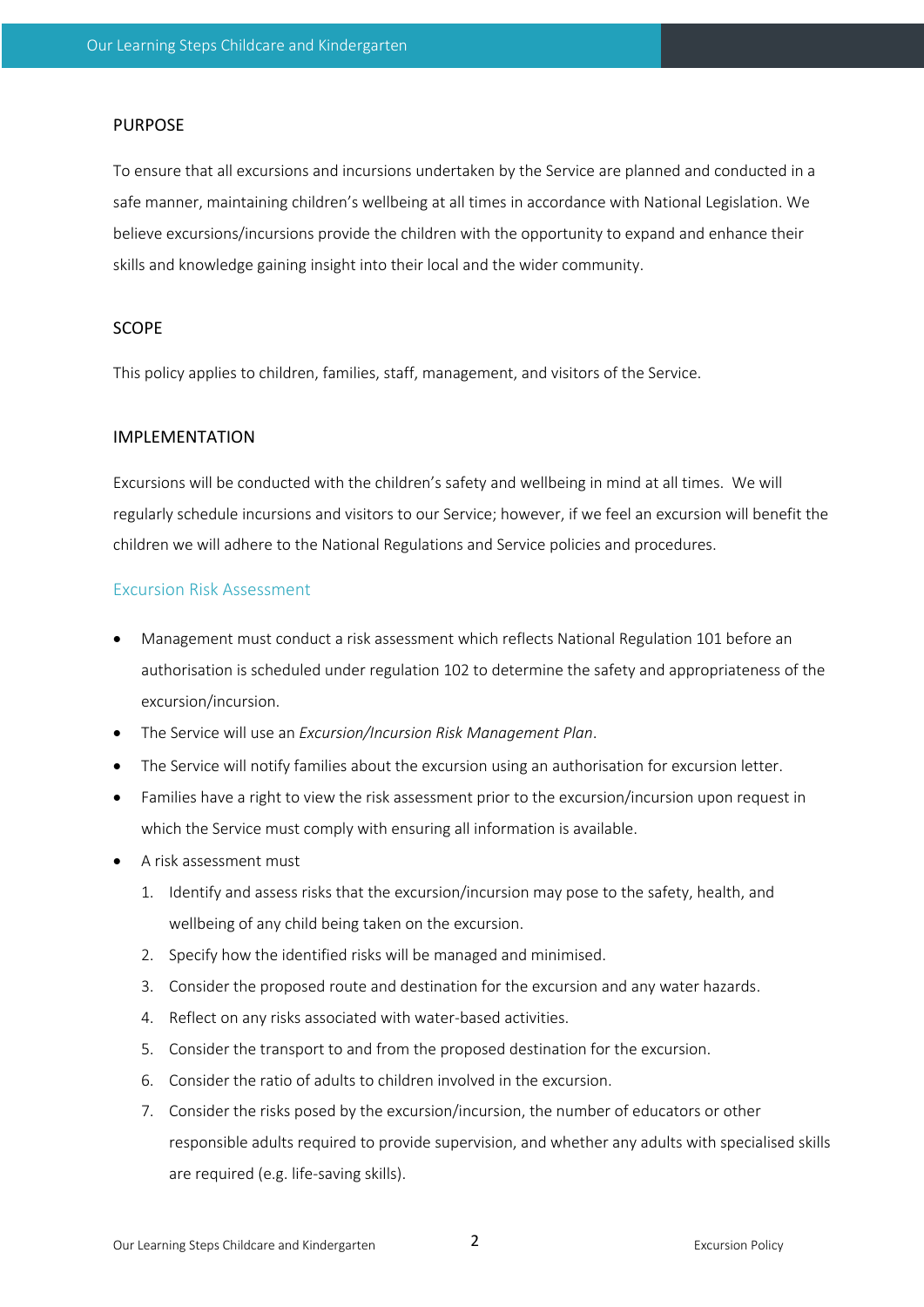#### PURPOSE

To ensure that all excursions and incursions undertaken by the Service are planned and conducted in a safe manner, maintaining children's wellbeing at all times in accordance with National Legislation. We believe excursions/incursions provide the children with the opportunity to expand and enhance their skills and knowledge gaining insight into their local and the wider community.

## SCOPE

This policy applies to children, families, staff, management, and visitors of the Service.

## IMPLEMENTATION

Excursions will be conducted with the children's safety and wellbeing in mind at all times. We will regularly schedule incursions and visitors to our Service; however, if we feel an excursion will benefit the children we will adhere to the National Regulations and Service policies and procedures.

### Excursion Risk Assessment

- Management must conduct a risk assessment which reflects National Regulation 101 before an authorisation is scheduled under regulation 102 to determine the safety and appropriateness of the excursion/incursion.
- The Service will use an *Excursion/Incursion Risk Management Plan*.
- The Service will notify families about the excursion using an authorisation for excursion letter.
- Families have a right to view the risk assessment prior to the excursion/incursion upon request in which the Service must comply with ensuring all information is available.
- A risk assessment must
	- 1. Identify and assess risks that the excursion/incursion may pose to the safety, health, and wellbeing of any child being taken on the excursion.
	- 2. Specify how the identified risks will be managed and minimised.
	- 3. Consider the proposed route and destination for the excursion and any water hazards.
	- 4. Reflect on any risks associated with water-based activities.
	- 5. Consider the transport to and from the proposed destination for the excursion.
	- 6. Consider the ratio of adults to children involved in the excursion.
	- 7. Consider the risks posed by the excursion/incursion, the number of educators or other responsible adults required to provide supervision, and whether any adults with specialised skills are required (e.g. life-saving skills).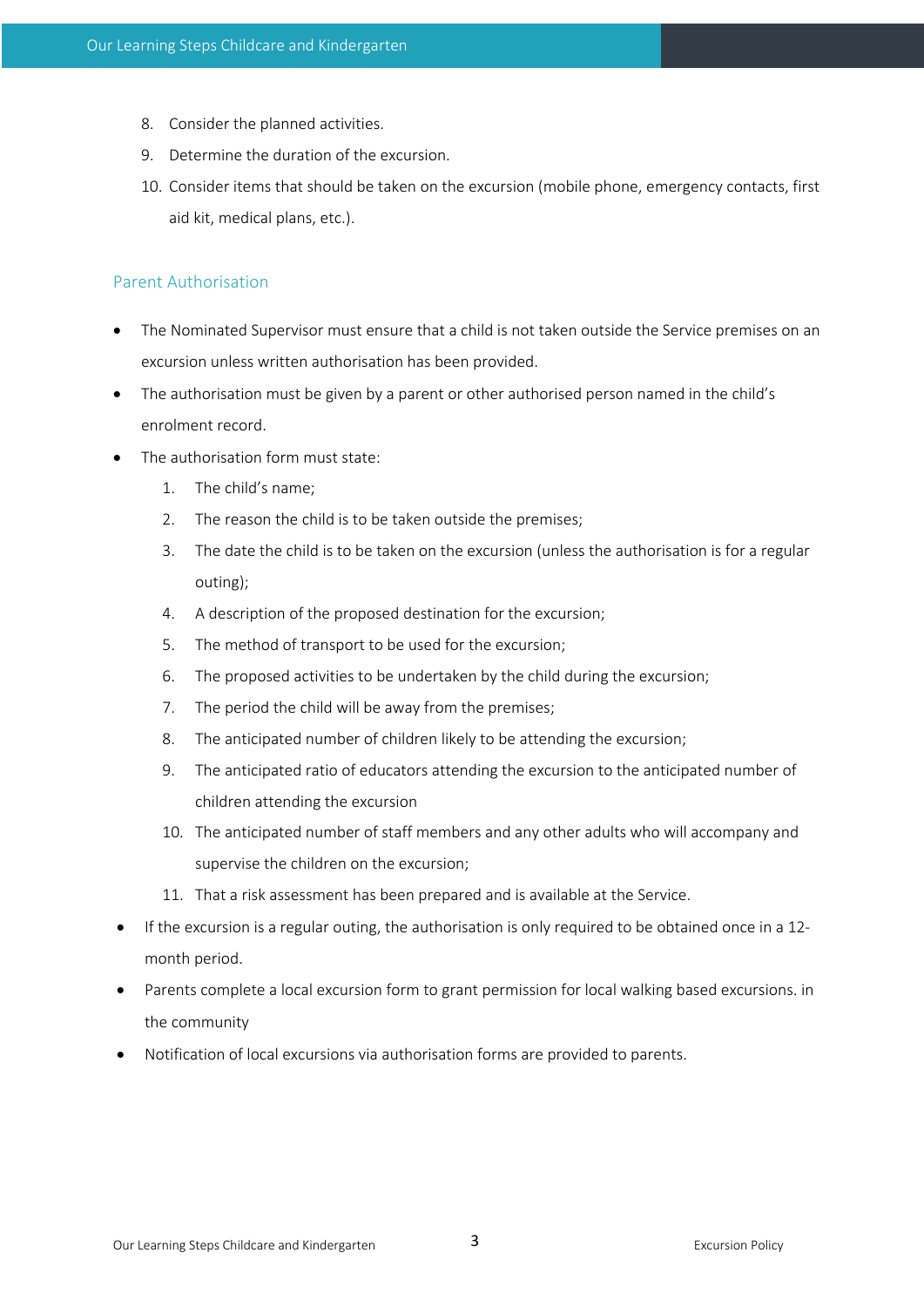- 8. Consider the planned activities.
- 9. Determine the duration of the excursion.
- 10. Consider items that should be taken on the excursion (mobile phone, emergency contacts, first aid kit, medical plans, etc.).

# Parent Authorisation

- The Nominated Supervisor must ensure that a child is not taken outside the Service premises on an excursion unless written authorisation has been provided.
- The authorisation must be given by a parent or other authorised person named in the child's enrolment record.
- The authorisation form must state:
	- 1. The child's name;
	- 2. The reason the child is to be taken outside the premises;
	- 3. The date the child is to be taken on the excursion (unless the authorisation is for a regular outing);
	- 4. A description of the proposed destination for the excursion;
	- 5. The method of transport to be used for the excursion;
	- 6. The proposed activities to be undertaken by the child during the excursion;
	- 7. The period the child will be away from the premises;
	- 8. The anticipated number of children likely to be attending the excursion;
	- 9. The anticipated ratio of educators attending the excursion to the anticipated number of children attending the excursion
	- 10. The anticipated number of staff members and any other adults who will accompany and supervise the children on the excursion;
	- 11. That a risk assessment has been prepared and is available at the Service.
- If the excursion is a regular outing, the authorisation is only required to be obtained once in a 12 month period.
- Parents complete a local excursion form to grant permission for local walking based excursions. in the community
- Notification of local excursions via authorisation forms are provided to parents.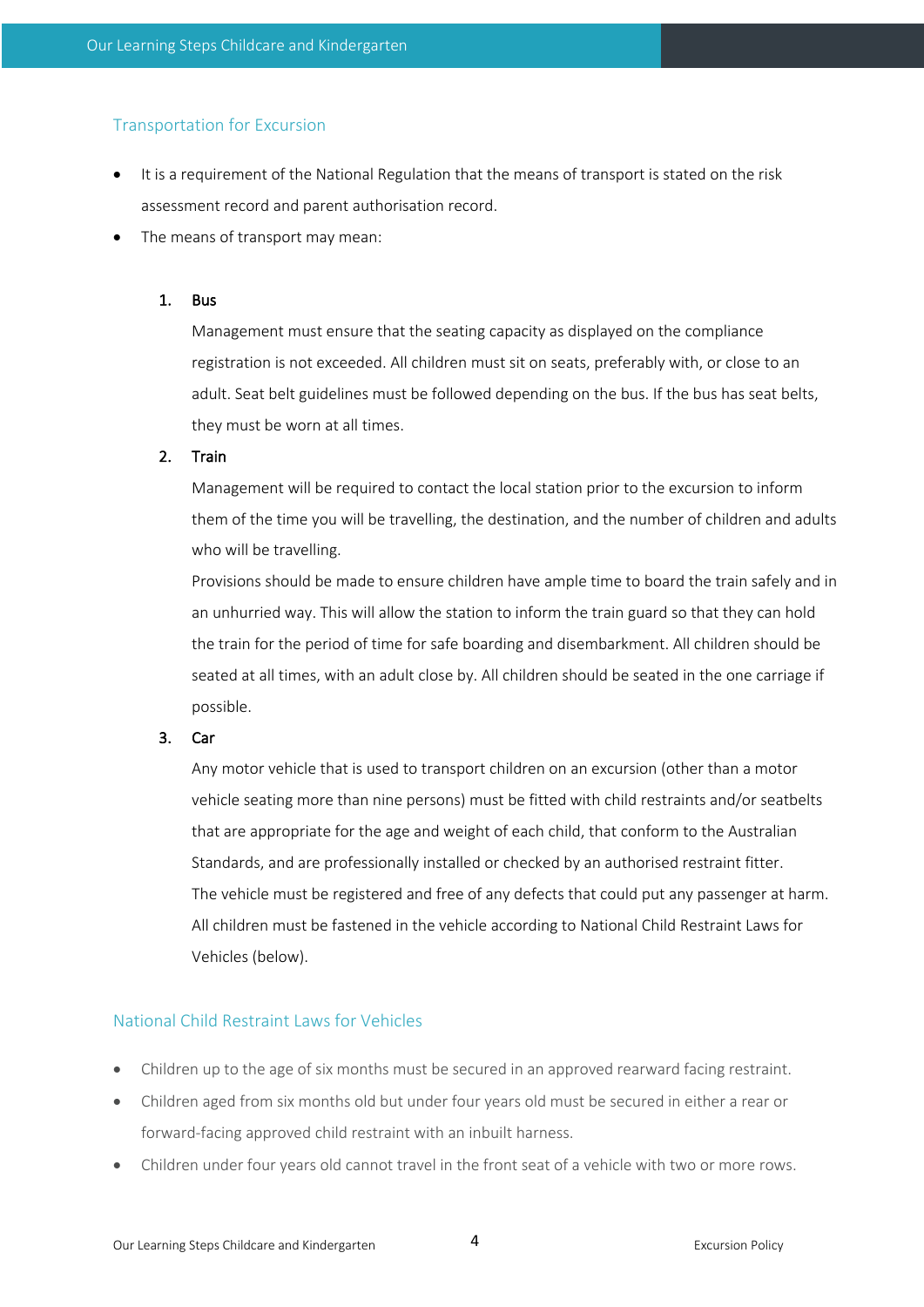# Transportation for Excursion

- It is a requirement of the National Regulation that the means of transport is stated on the risk assessment record and parent authorisation record.
- The means of transport may mean:

## 1. Bus

Management must ensure that the seating capacity as displayed on the compliance registration is not exceeded. All children must sit on seats, preferably with, or close to an adult. Seat belt guidelines must be followed depending on the bus. If the bus has seat belts, they must be worn at all times.

## 2. Train

Management will be required to contact the local station prior to the excursion to inform them of the time you will be travelling, the destination, and the number of children and adults who will be travelling.

Provisions should be made to ensure children have ample time to board the train safely and in an unhurried way. This will allow the station to inform the train guard so that they can hold the train for the period of time for safe boarding and disembarkment. All children should be seated at all times, with an adult close by. All children should be seated in the one carriage if possible.

### 3. Car

Any motor vehicle that is used to transport children on an excursion (other than a motor vehicle seating more than nine persons) must be fitted with child restraints and/or seatbelts that are appropriate for the age and weight of each child, that conform to the Australian Standards, and are professionally installed or checked by an authorised restraint fitter. The vehicle must be registered and free of any defects that could put any passenger at harm. All children must be fastened in the vehicle according to National Child Restraint Laws for Vehicles (below).

# National Child Restraint Laws for Vehicles

- Children up to the age of six months must be secured in an approved rearward facing restraint.
- Children aged from six months old but under four years old must be secured in either a rear or forward-facing approved child restraint with an inbuilt harness.
- Children under four years old cannot travel in the front seat of a vehicle with two or more rows.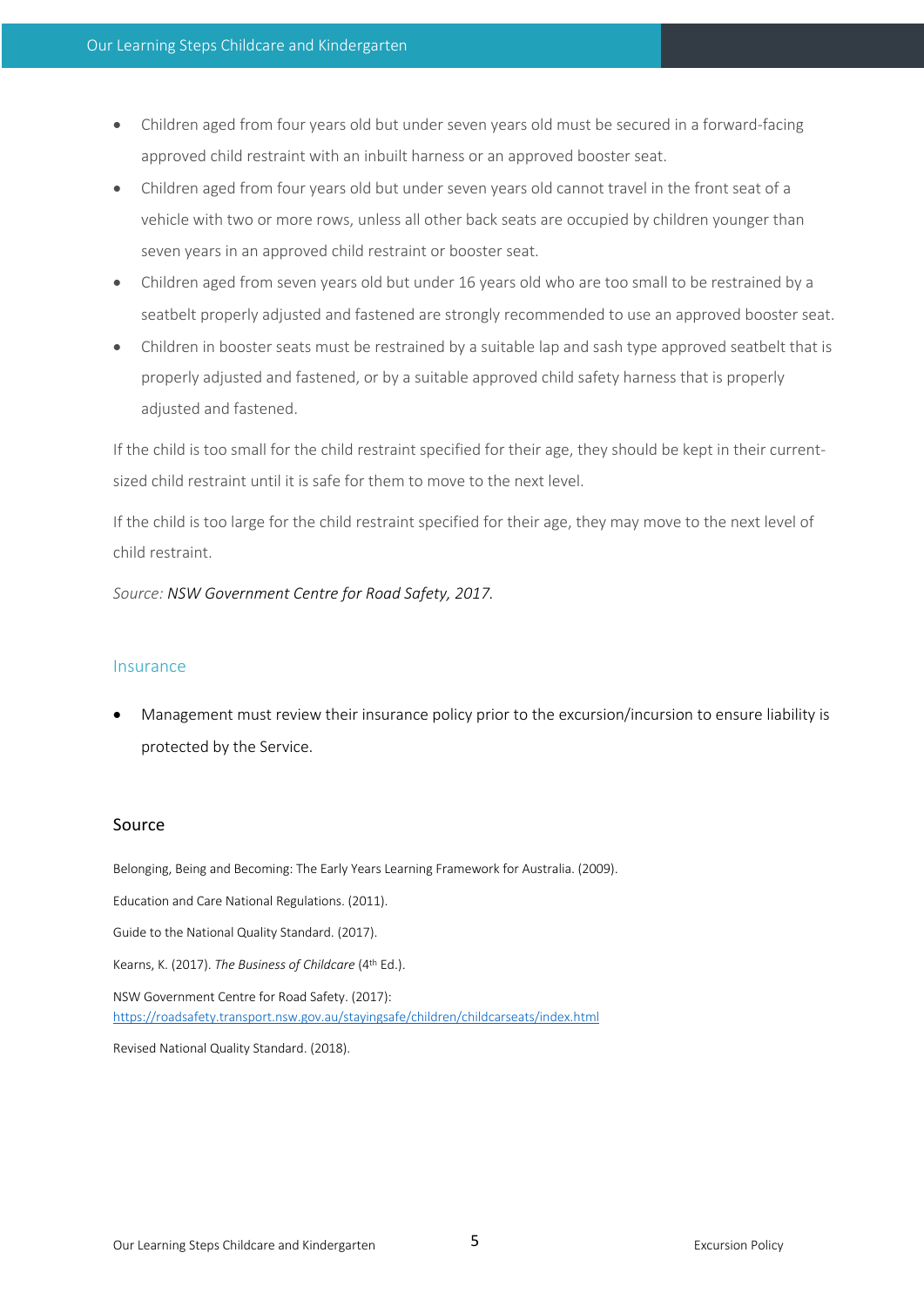- Children aged from four years old but under seven years old must be secured in a forward-facing approved child restraint with an inbuilt harness or an approved booster seat.
- Children aged from four years old but under seven years old cannot travel in the front seat of a vehicle with two or more rows, unless all other back seats are occupied by children younger than seven years in an approved child restraint or booster seat.
- Children aged from seven years old but under 16 years old who are too small to be restrained by a seatbelt properly adjusted and fastened are strongly recommended to use an approved booster seat.
- Children in booster seats must be restrained by a suitable lap and sash type approved seatbelt that is properly adjusted and fastened, or by a suitable approved child safety harness that is properly adjusted and fastened.

If the child is too small for the child restraint specified for their age, they should be kept in their currentsized child restraint until it is safe for them to move to the next level.

If the child is too large for the child restraint specified for their age, they may move to the next level of child restraint.

*Source: NSW Government Centre for Road Safety, 2017.*

#### Insurance

• Management must review their insurance policy prior to the excursion/incursion to ensure liability is protected by the Service.

# Source

Belonging, Being and Becoming: The Early Years Learning Framework for Australia. (2009). Education and Care National Regulations. (2011). Guide to the National Quality Standard. (2017). Kearns, K. (2017). *The Business of Childcare* (4th Ed.). NSW Government Centre for Road Safety. (2017): https://roadsafety.transport.nsw.gov.au/stayingsafe/children/childcarseats/index.html

Revised National Quality Standard. (2018).